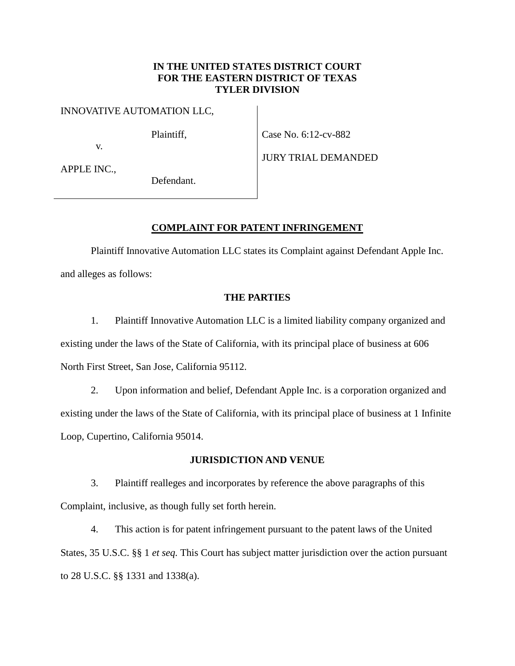# **IN THE UNITED STATES DISTRICT COURT FOR THE EASTERN DISTRICT OF TEXAS TYLER DIVISION**

INNOVATIVE AUTOMATION LLC,

Plaintiff,

Case No. 6:12-cv-882

APPLE INC.,

v.

Defendant.

JURY TRIAL DEMANDED

### **COMPLAINT FOR PATENT INFRINGEMENT**

Plaintiff Innovative Automation LLC states its Complaint against Defendant Apple Inc. and alleges as follows:

# **THE PARTIES**

1. Plaintiff Innovative Automation LLC is a limited liability company organized and existing under the laws of the State of California, with its principal place of business at 606 North First Street, San Jose, California 95112.

2. Upon information and belief, Defendant Apple Inc. is a corporation organized and existing under the laws of the State of California, with its principal place of business at 1 Infinite Loop, Cupertino, California 95014.

## **JURISDICTION AND VENUE**

3. Plaintiff realleges and incorporates by reference the above paragraphs of this Complaint, inclusive, as though fully set forth herein.

4. This action is for patent infringement pursuant to the patent laws of the United States, 35 U.S.C. §§ 1 *et seq.* This Court has subject matter jurisdiction over the action pursuant to 28 U.S.C. §§ 1331 and 1338(a).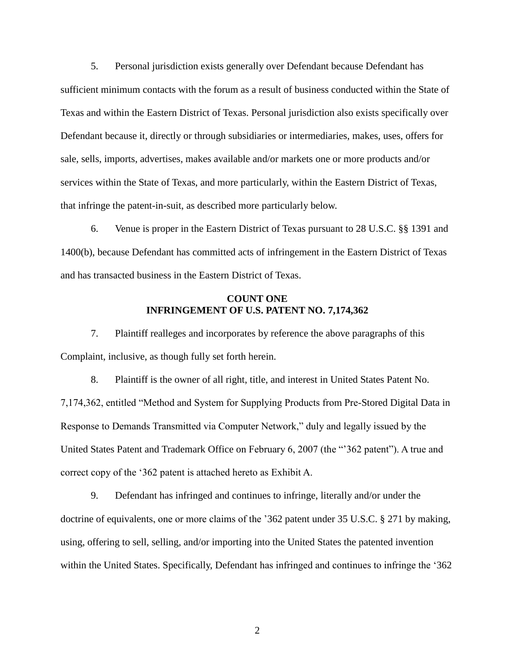5. Personal jurisdiction exists generally over Defendant because Defendant has sufficient minimum contacts with the forum as a result of business conducted within the State of Texas and within the Eastern District of Texas. Personal jurisdiction also exists specifically over Defendant because it, directly or through subsidiaries or intermediaries, makes, uses, offers for sale, sells, imports, advertises, makes available and/or markets one or more products and/or services within the State of Texas, and more particularly, within the Eastern District of Texas, that infringe the patent-in-suit, as described more particularly below.

6. Venue is proper in the Eastern District of Texas pursuant to 28 U.S.C. §§ 1391 and 1400(b), because Defendant has committed acts of infringement in the Eastern District of Texas and has transacted business in the Eastern District of Texas.

### **COUNT ONE INFRINGEMENT OF U.S. PATENT NO. 7,174,362**

7. Plaintiff realleges and incorporates by reference the above paragraphs of this Complaint, inclusive, as though fully set forth herein.

8. Plaintiff is the owner of all right, title, and interest in United States Patent No. 7,174,362, entitled "Method and System for Supplying Products from Pre-Stored Digital Data in Response to Demands Transmitted via Computer Network," duly and legally issued by the United States Patent and Trademark Office on February 6, 2007 (the ""362 patent"). A true and correct copy of the "362 patent is attached hereto as Exhibit A.

9. Defendant has infringed and continues to infringe, literally and/or under the doctrine of equivalents, one or more claims of the "362 patent under 35 U.S.C. § 271 by making, using, offering to sell, selling, and/or importing into the United States the patented invention within the United States. Specifically, Defendant has infringed and continues to infringe the "362

2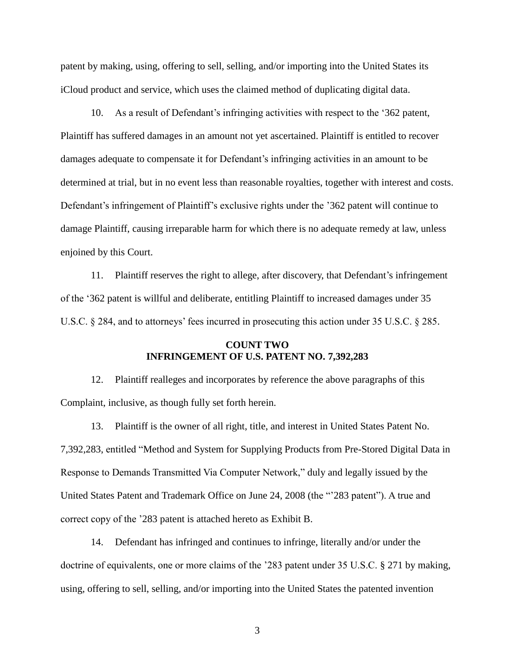patent by making, using, offering to sell, selling, and/or importing into the United States its iCloud product and service, which uses the claimed method of duplicating digital data.

10. As a result of Defendant"s infringing activities with respect to the "362 patent, Plaintiff has suffered damages in an amount not yet ascertained. Plaintiff is entitled to recover damages adequate to compensate it for Defendant"s infringing activities in an amount to be determined at trial, but in no event less than reasonable royalties, together with interest and costs. Defendant's infringement of Plaintiff's exclusive rights under the '362 patent will continue to damage Plaintiff, causing irreparable harm for which there is no adequate remedy at law, unless enjoined by this Court.

11. Plaintiff reserves the right to allege, after discovery, that Defendant"s infringement of the "362 patent is willful and deliberate, entitling Plaintiff to increased damages under 35 U.S.C. § 284, and to attorneys' fees incurred in prosecuting this action under 35 U.S.C. § 285.

# **COUNT TWO INFRINGEMENT OF U.S. PATENT NO. 7,392,283**

12. Plaintiff realleges and incorporates by reference the above paragraphs of this Complaint, inclusive, as though fully set forth herein.

13. Plaintiff is the owner of all right, title, and interest in United States Patent No. 7,392,283, entitled "Method and System for Supplying Products from Pre-Stored Digital Data in Response to Demands Transmitted Via Computer Network," duly and legally issued by the United States Patent and Trademark Office on June 24, 2008 (the ""283 patent"). A true and correct copy of the "283 patent is attached hereto as Exhibit B.

14. Defendant has infringed and continues to infringe, literally and/or under the doctrine of equivalents, one or more claims of the "283 patent under 35 U.S.C. § 271 by making, using, offering to sell, selling, and/or importing into the United States the patented invention

3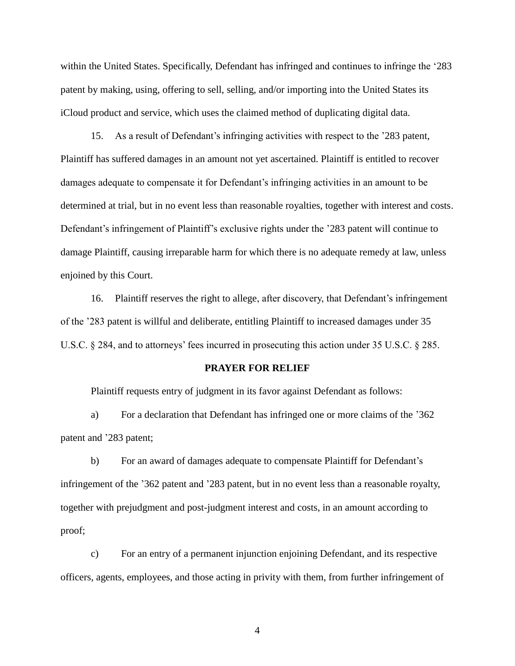within the United States. Specifically, Defendant has infringed and continues to infringe the "283 patent by making, using, offering to sell, selling, and/or importing into the United States its iCloud product and service, which uses the claimed method of duplicating digital data.

15. As a result of Defendant"s infringing activities with respect to the "283 patent, Plaintiff has suffered damages in an amount not yet ascertained. Plaintiff is entitled to recover damages adequate to compensate it for Defendant's infringing activities in an amount to be determined at trial, but in no event less than reasonable royalties, together with interest and costs. Defendant's infringement of Plaintiff's exclusive rights under the '283 patent will continue to damage Plaintiff, causing irreparable harm for which there is no adequate remedy at law, unless enjoined by this Court.

16. Plaintiff reserves the right to allege, after discovery, that Defendant's infringement of the "283 patent is willful and deliberate, entitling Plaintiff to increased damages under 35 U.S.C. § 284, and to attorneys' fees incurred in prosecuting this action under 35 U.S.C. § 285.

#### **PRAYER FOR RELIEF**

Plaintiff requests entry of judgment in its favor against Defendant as follows:

a) For a declaration that Defendant has infringed one or more claims of the "362 patent and '283 patent;

b) For an award of damages adequate to compensate Plaintiff for Defendant"s infringement of the "362 patent and "283 patent, but in no event less than a reasonable royalty, together with prejudgment and post-judgment interest and costs, in an amount according to proof;

c) For an entry of a permanent injunction enjoining Defendant, and its respective officers, agents, employees, and those acting in privity with them, from further infringement of

4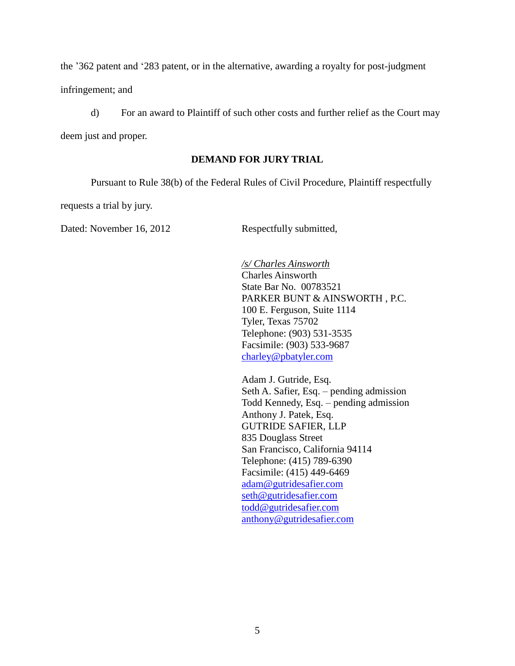the "362 patent and "283 patent, or in the alternative, awarding a royalty for post-judgment infringement; and

d) For an award to Plaintiff of such other costs and further relief as the Court may deem just and proper.

# **DEMAND FOR JURY TRIAL**

Pursuant to Rule 38(b) of the Federal Rules of Civil Procedure, Plaintiff respectfully

requests a trial by jury.

Dated: November 16, 2012 Respectfully submitted,

*/s/ Charles Ainsworth* Charles Ainsworth State Bar No. 00783521 PARKER BUNT & AINSWORTH , P.C. 100 E. Ferguson, Suite 1114 Tyler, Texas 75702 Telephone: (903) 531-3535 Facsimile: (903) 533-9687 [charley@pbatyler.com](mailto:charley@pbatyler.com)

Adam J. Gutride, Esq. Seth A. Safier, Esq. – pending admission Todd Kennedy, Esq. – pending admission Anthony J. Patek, Esq. GUTRIDE SAFIER, LLP 835 Douglass Street San Francisco, California 94114 Telephone: (415) 789-6390 Facsimile: (415) 449-6469 [adam@gutridesafier.com](mailto:adam@gutridesafier.com) [seth@gutridesafier.com](mailto:seth@gutridesafier.com) [todd@gutridesafier.com](mailto:todd@gutridesafier.com) [anthony@gutridesafier.com](mailto:anthony@gutridesafier.com)